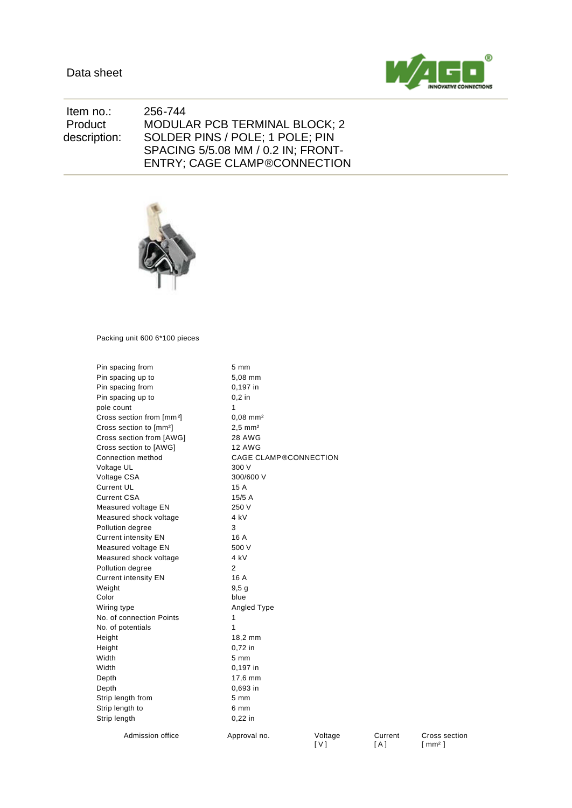

 Item no.: 256-744 Product description: MODULAR PCB TERMINAL BLOCK; 2 SOLDER PINS / POLE; 1 POLE; PIN SPACING 5/5.08 MM / 0.2 IN; FRONT-ENTRY; CAGE CLAMP®CONNECTION



Packing unit 600 6\*100 pieces

| Pin spacing from                      | 5 mm                         |         |
|---------------------------------------|------------------------------|---------|
| Pin spacing up to                     | 5,08 mm                      |         |
| Pin spacing from                      | 0,197 in                     |         |
| Pin spacing up to                     | $0.2$ in                     |         |
| pole count                            | 1                            |         |
| Cross section from [mm <sup>2</sup> ] | $0.08$ mm <sup>2</sup>       |         |
| Cross section to [mm <sup>2</sup> ]   | $2.5$ mm <sup>2</sup>        |         |
| Cross section from [AWG]              | 28 AWG                       |         |
| Cross section to [AWG]                | <b>12 AWG</b>                |         |
| Connection method                     | <b>CAGE CLAMP®CONNECTION</b> |         |
| Voltage UL                            | 300 V                        |         |
| Voltage CSA                           | 300/600 V                    |         |
| <b>Current UL</b>                     | 15 A                         |         |
| <b>Current CSA</b>                    | 15/5A                        |         |
| Measured voltage EN                   | 250 V                        |         |
| Measured shock voltage                | 4 kV                         |         |
| Pollution degree                      | 3                            |         |
| <b>Current intensity EN</b>           | 16 A                         |         |
| Measured voltage EN                   | 500 V                        |         |
| Measured shock voltage                | 4 kV                         |         |
| Pollution degree                      | 2                            |         |
| <b>Current intensity EN</b>           | 16 A                         |         |
| Weight                                | 9.5 <sub>q</sub>             |         |
| Color                                 | blue                         |         |
| Wiring type                           | Angled Type                  |         |
| No. of connection Points              | 1                            |         |
| No. of potentials                     | 1                            |         |
| Height                                | 18,2 mm                      |         |
| Height                                | 0,72 in                      |         |
| Width                                 | $5 \text{ mm}$               |         |
| Width                                 | 0,197 in                     |         |
| Depth                                 | 17,6 mm                      |         |
| Depth                                 | 0,693 in                     |         |
| Strip length from                     | $5 \, \text{mm}$             |         |
| Strip length to                       | 6 mm                         |         |
| Strip length                          | $0,22$ in                    |         |
| Admission office                      | Approval no.                 | Voltage |

[ V ]

Current [ A ]

Cross section [ mm² ]